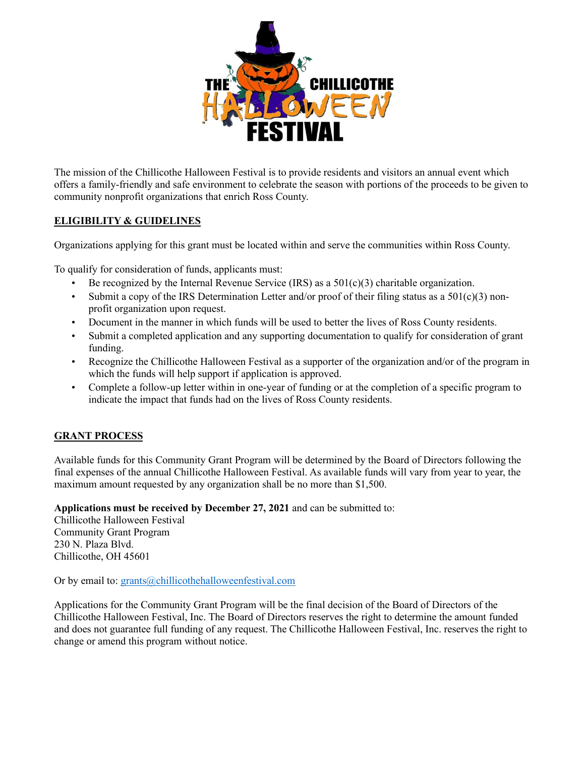

The mission of the Chillicothe Halloween Festival is to provide residents and visitors an annual event which offers a family-friendly and safe environment to celebrate the season with portions of the proceeds to be given to community nonprofit organizations that enrich Ross County.

## **ELIGIBILITY & GUIDELINES**

Organizations applying for this grant must be located within and serve the communities within Ross County.

To qualify for consideration of funds, applicants must:

- Be recognized by the Internal Revenue Service (IRS) as a  $501(c)(3)$  charitable organization.
- Submit a copy of the IRS Determination Letter and/or proof of their filing status as a  $501(c)(3)$  nonprofit organization upon request.
- Document in the manner in which funds will be used to better the lives of Ross County residents.
- Submit a completed application and any supporting documentation to qualify for consideration of grant funding.
- Recognize the Chillicothe Halloween Festival as a supporter of the organization and/or of the program in which the funds will help support if application is approved.
- Complete a follow-up letter within in one-year of funding or at the completion of a specific program to indicate the impact that funds had on the lives of Ross County residents.

## **GRANT PROCESS**

Available funds for this Community Grant Program will be determined by the Board of Directors following the final expenses of the annual Chillicothe Halloween Festival. As available funds will vary from year to year, the maximum amount requested by any organization shall be no more than \$1,500.

**Applications must be received by December 27, 2021** and can be submitted to:

Chillicothe Halloween Festival Community Grant Program 230 N. Plaza Blvd. Chillicothe, OH 45601

Or by email to: [grants@chillicothehalloweenfestival.com](mailto:grants@chillicothehalloweenfestival.com)

Applications for the Community Grant Program will be the final decision of the Board of Directors of the Chillicothe Halloween Festival, Inc. The Board of Directors reserves the right to determine the amount funded and does not guarantee full funding of any request. The Chillicothe Halloween Festival, Inc. reserves the right to change or amend this program without notice.